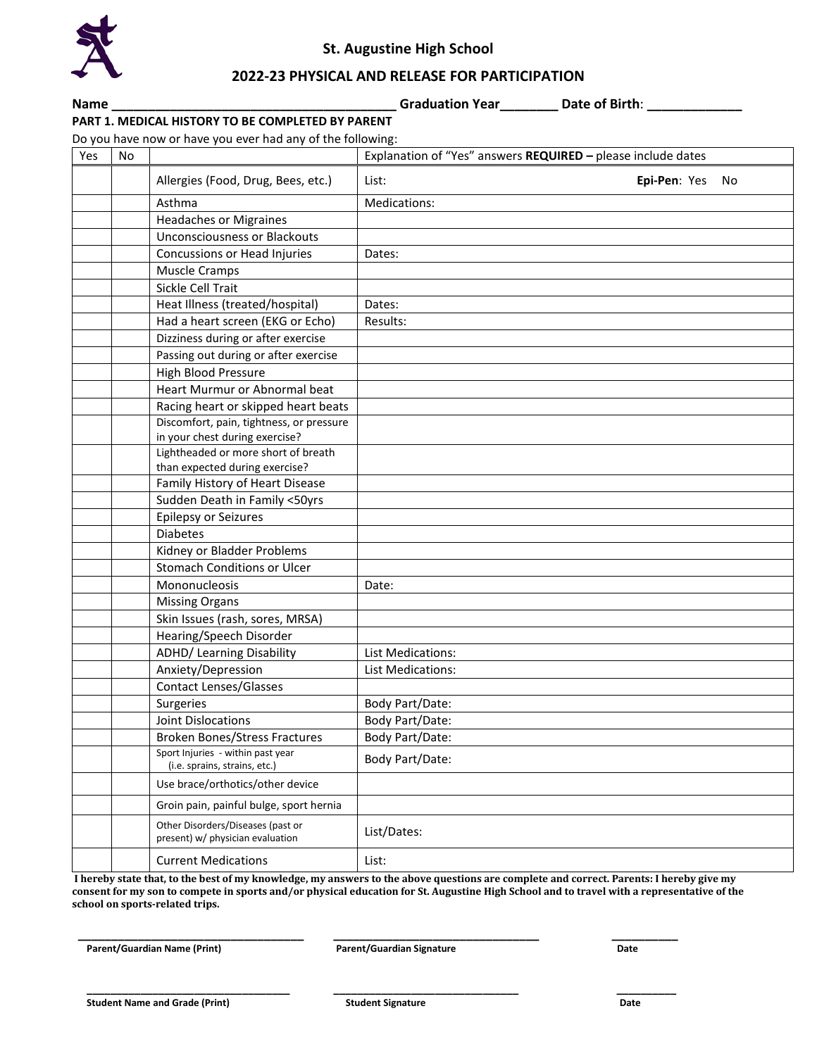

## **St. Augustine High School**

## **2022-23 PHYSICAL AND RELEASE FOR PARTICIPATION**

**Name \_\_\_\_\_\_\_\_\_\_\_\_\_\_\_\_\_\_\_\_\_\_\_\_\_\_\_\_\_\_\_\_\_\_\_\_\_\_\_ Graduation Year\_\_\_\_\_\_\_\_ Date of Birth**: **\_\_\_\_\_\_\_\_\_\_\_\_\_**

## **PART 1. MEDICAL HISTORY TO BE COMPLETED BY PARENT**

Do you have now or have you ever had any of the following:

| Yes | No. | DO YOU HUVE HOW OF HUVE YOU EVER HUU UHY OF LITE TOHOWING.            | Explanation of "Yes" answers REQUIRED - please include dates |  |
|-----|-----|-----------------------------------------------------------------------|--------------------------------------------------------------|--|
|     |     | Allergies (Food, Drug, Bees, etc.)                                    | Epi-Pen: Yes No<br>List:                                     |  |
|     |     |                                                                       |                                                              |  |
|     |     | Asthma                                                                | Medications:                                                 |  |
|     |     | <b>Headaches or Migraines</b>                                         |                                                              |  |
|     |     | <b>Unconsciousness or Blackouts</b>                                   |                                                              |  |
|     |     | Concussions or Head Injuries                                          | Dates:                                                       |  |
|     |     | <b>Muscle Cramps</b>                                                  |                                                              |  |
|     |     | Sickle Cell Trait                                                     |                                                              |  |
|     |     | Heat Illness (treated/hospital)                                       | Dates:                                                       |  |
|     |     | Had a heart screen (EKG or Echo)                                      | Results:                                                     |  |
|     |     | Dizziness during or after exercise                                    |                                                              |  |
|     |     | Passing out during or after exercise                                  |                                                              |  |
|     |     | High Blood Pressure                                                   |                                                              |  |
|     |     | Heart Murmur or Abnormal beat                                         |                                                              |  |
|     |     | Racing heart or skipped heart beats                                   |                                                              |  |
|     |     | Discomfort, pain, tightness, or pressure                              |                                                              |  |
|     |     | in your chest during exercise?                                        |                                                              |  |
|     |     | Lightheaded or more short of breath                                   |                                                              |  |
|     |     | than expected during exercise?                                        |                                                              |  |
|     |     | Family History of Heart Disease                                       |                                                              |  |
|     |     | Sudden Death in Family <50yrs                                         |                                                              |  |
|     |     | <b>Epilepsy or Seizures</b>                                           |                                                              |  |
|     |     | <b>Diabetes</b>                                                       |                                                              |  |
|     |     | Kidney or Bladder Problems                                            |                                                              |  |
|     |     | <b>Stomach Conditions or Ulcer</b>                                    |                                                              |  |
|     |     | Mononucleosis                                                         | Date:                                                        |  |
|     |     | <b>Missing Organs</b>                                                 |                                                              |  |
|     |     | Skin Issues (rash, sores, MRSA)                                       |                                                              |  |
|     |     | Hearing/Speech Disorder                                               |                                                              |  |
|     |     | <b>ADHD/ Learning Disability</b>                                      | <b>List Medications:</b>                                     |  |
|     |     | Anxiety/Depression                                                    | <b>List Medications:</b>                                     |  |
|     |     | <b>Contact Lenses/Glasses</b>                                         |                                                              |  |
|     |     | Surgeries                                                             | Body Part/Date:                                              |  |
|     |     | Joint Dislocations                                                    | Body Part/Date:                                              |  |
|     |     | <b>Broken Bones/Stress Fractures</b>                                  | Body Part/Date:                                              |  |
|     |     | Sport Injuries - within past year<br>(i.e. sprains, strains, etc.)    | Body Part/Date:                                              |  |
|     |     | Use brace/orthotics/other device                                      |                                                              |  |
|     |     | Groin pain, painful bulge, sport hernia                               |                                                              |  |
|     |     | Other Disorders/Diseases (past or<br>present) w/ physician evaluation | List/Dates:                                                  |  |
|     |     | <b>Current Medications</b>                                            | List:                                                        |  |

**I hereby state that, to the best of my knowledge, my answers to the above questions are complete and correct. Parents: I hereby give my consent for my son to compete in sports and/or physical education for St. Augustine High School and to travel with a representative of the school on sports-related trips.** 

 **\_\_\_\_\_\_\_\_\_\_\_\_\_\_\_\_\_\_\_\_\_\_\_\_\_\_\_\_\_\_\_\_\_\_ \_\_\_\_\_\_\_\_\_\_\_\_\_\_\_\_\_\_\_\_\_\_\_\_\_\_\_\_\_\_\_ \_\_\_\_\_\_\_\_\_\_** Parent/Guardian Name (Print) **Parent/Guardian Signature** Parent/Guardian Signature Parent/Guardian Signature Parent